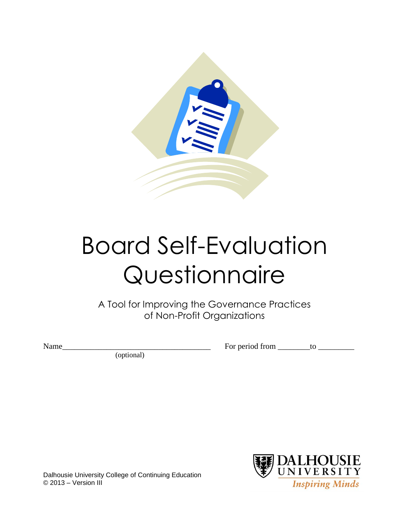

# Board Self-Evaluation Questionnaire

A Tool for Improving the Governance Practices of Non-Profit Organizations

Name\_\_\_\_\_\_\_\_\_\_\_\_\_\_\_\_\_\_\_\_\_\_\_\_\_\_\_\_\_\_\_\_\_\_\_\_\_ For period from \_\_\_\_\_\_\_\_to \_\_\_\_\_\_\_\_\_

(optional)



Dalhousie University College of Continuing Education © 2013 – Version III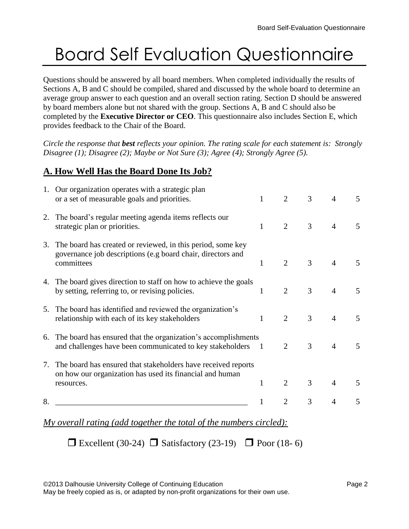# Board Self Evaluation Questionnaire

Questions should be answered by all board members. When completed individually the results of Sections A, B and C should be compiled, shared and discussed by the whole board to determine an average group answer to each question and an overall section rating. Section D should be answered by board members alone but not shared with the group. Sections A, B and C should also be completed by the **Executive Director or CEO**. This questionnaire also includes Section E, which provides feedback to the Chair of the Board.

*Circle the response that best reflects your opinion. The rating scale for each statement is: Strongly Disagree (1); Disagree (2); Maybe or Not Sure (3); Agree (4); Strongly Agree (5).*

# **A. How Well Has the Board Done Its Job?**

|    | 1. Our organization operates with a strategic plan<br>or a set of measurable goals and priorities.                                       | $\mathbf{1}$   | 2              | 3              | 4              | 5              |
|----|------------------------------------------------------------------------------------------------------------------------------------------|----------------|----------------|----------------|----------------|----------------|
| 2. | The board's regular meeting agenda items reflects our<br>strategic plan or priorities.                                                   | 1              | $\overline{2}$ | $\overline{3}$ | $\overline{4}$ | 5              |
| 3. | The board has created or reviewed, in this period, some key<br>governance job descriptions (e.g board chair, directors and<br>committees | 1              | $\overline{2}$ | $\overline{3}$ | $\overline{4}$ | 5              |
|    | 4. The board gives direction to staff on how to achieve the goals<br>by setting, referring to, or revising policies.                     | 1              | $\overline{2}$ | 3              | $\overline{4}$ | 5              |
| 5. | The board has identified and reviewed the organization's<br>relationship with each of its key stakeholders                               | $\mathbf{1}$   | $\overline{2}$ | 3              | $\overline{4}$ | 5              |
| 6. | The board has ensured that the organization's accomplishments<br>and challenges have been communicated to key stakeholders               | $\overline{1}$ | $\overline{2}$ | 3              | $\overline{4}$ | 5              |
| 7. | The board has ensured that stakeholders have received reports<br>on how our organization has used its financial and human<br>resources.  | $\mathbf{1}$   | $\overline{2}$ | 3              | $\overline{4}$ | $\overline{5}$ |
|    |                                                                                                                                          |                |                |                |                |                |
| 8. |                                                                                                                                          | 1              | 2              | 3              | 4              | 5              |
|    |                                                                                                                                          |                |                |                |                |                |

*My overall rating (add together the total of the numbers circled):*

Excellent (30-24)  $\Box$  Satisfactory (23-19)  $\Box$  Poor (18-6)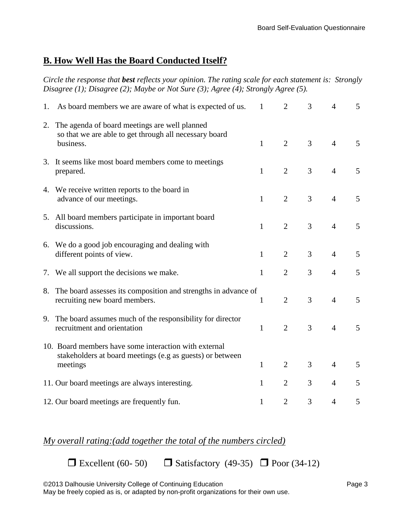#### **B. How Well Has the Board Conducted Itself?**

*Circle the response that best reflects your opinion. The rating scale for each statement is: Strongly Disagree (1); Disagree (2); Maybe or Not Sure (3); Agree (4); Strongly Agree (5).*

| 1. | As board members we are aware of what is expected of us.                                                                       | 1            | $\overline{2}$ | 3              | $\overline{4}$ | 5 |
|----|--------------------------------------------------------------------------------------------------------------------------------|--------------|----------------|----------------|----------------|---|
| 2. | The agenda of board meetings are well planned<br>so that we are able to get through all necessary board<br>business.           | $\mathbf{1}$ | $\overline{2}$ | 3              | $\overline{4}$ | 5 |
|    | 3. It seems like most board members come to meetings<br>prepared.                                                              | 1            | $\overline{2}$ | 3              | $\overline{4}$ | 5 |
|    | 4. We receive written reports to the board in<br>advance of our meetings.                                                      | $\mathbf{1}$ | $\overline{2}$ | 3              | $\overline{4}$ | 5 |
|    | 5. All board members participate in important board<br>discussions.                                                            | $\mathbf{1}$ | $\overline{2}$ | $\overline{3}$ | $\overline{4}$ | 5 |
|    | 6. We do a good job encouraging and dealing with<br>different points of view.                                                  | $\mathbf{1}$ | $\overline{2}$ | 3              | $\overline{4}$ | 5 |
|    | 7. We all support the decisions we make.                                                                                       | $\mathbf{1}$ | $\overline{2}$ | 3              | $\overline{4}$ | 5 |
| 8. | The board assesses its composition and strengths in advance of<br>recruiting new board members.                                | 1            | $\overline{2}$ | 3              | $\overline{4}$ | 5 |
|    | 9. The board assumes much of the responsibility for director<br>recruitment and orientation                                    | $\mathbf{1}$ | $\overline{2}$ | 3              | $\overline{4}$ | 5 |
|    | 10. Board members have some interaction with external<br>stakeholders at board meetings (e.g as guests) or between<br>meetings | $\mathbf{1}$ | $\overline{2}$ | 3              | $\overline{4}$ | 5 |
|    | 11. Our board meetings are always interesting.                                                                                 | 1            | $\overline{2}$ | 3              | $\overline{4}$ | 5 |
|    | 12. Our board meetings are frequently fun.                                                                                     | 1            | $\overline{2}$ | 3              | 4              | 5 |

#### *My overall rating:(add together the total of the numbers circled)*

Excellent (60- 50)  $\Box$  Satisfactory (49-35)  $\Box$  Poor (34-12)

©2013 Dalhousie University College of Continuing Education example 2013 Dalhousie Page 3

May be freely copied as is, or adapted by non-profit organizations for their own use.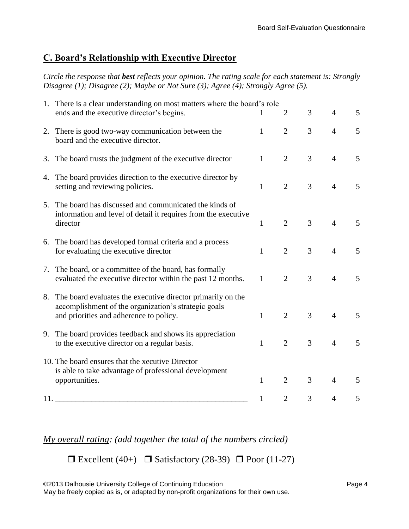# **C. Board's Relationship with Executive Director**

*Circle the response that best reflects your opinion. The rating scale for each statement is: Strongly Disagree (1); Disagree (2); Maybe or Not Sure (3); Agree (4); Strongly Agree (5).*

|     | 1. There is a clear understanding on most matters where the board's role<br>ends and the executive director's begins.                                          |              | $\overline{2}$ | 3 | $\overline{4}$ | $\mathfrak{S}$ |
|-----|----------------------------------------------------------------------------------------------------------------------------------------------------------------|--------------|----------------|---|----------------|----------------|
|     | 2. There is good two-way communication between the<br>board and the executive director.                                                                        | $\mathbf{1}$ | $\overline{2}$ | 3 | $\overline{4}$ | 5              |
|     | 3. The board trusts the judgment of the executive director                                                                                                     | $\mathbf{1}$ | $\overline{2}$ | 3 | $\overline{4}$ | 5              |
|     | 4. The board provides direction to the executive director by<br>setting and reviewing policies.                                                                | $\mathbf{1}$ | $\overline{2}$ | 3 | $\overline{4}$ | 5              |
| 5.  | The board has discussed and communicated the kinds of<br>information and level of detail it requires from the executive<br>director                            | $\mathbf{1}$ | $\overline{2}$ | 3 | $\overline{4}$ | 5              |
|     | 6. The board has developed formal criteria and a process<br>for evaluating the executive director                                                              | $\mathbf{1}$ | $\overline{2}$ | 3 | $\overline{4}$ | 5              |
| 7.  | The board, or a committee of the board, has formally<br>evaluated the executive director within the past 12 months.                                            | $\mathbf{1}$ | $\overline{2}$ | 3 | $\overline{4}$ | 5              |
| 8.  | The board evaluates the executive director primarily on the<br>accomplishment of the organization's strategic goals<br>and priorities and adherence to policy. | $\mathbf{1}$ | $\overline{2}$ | 3 | $\overline{4}$ | 5              |
| 9.  | The board provides feedback and shows its appreciation<br>to the executive director on a regular basis.                                                        | $\mathbf{1}$ | $\overline{2}$ | 3 | $\overline{4}$ | 5              |
|     | 10. The board ensures that the xecutive Director<br>is able to take advantage of professional development<br>opportunities.                                    | $\mathbf{1}$ | $\overline{2}$ | 3 | $\overline{4}$ | 5              |
| 11. |                                                                                                                                                                | 1            | $\overline{2}$ | 3 | 4              | 5              |

*My overall rating: (add together the total of the numbers circled)*

 $\Box$  Excellent (40+)  $\Box$  Satisfactory (28-39)  $\Box$  Poor (11-27)

©2013 Dalhousie University College of Continuing Education example 2013 Dalhousie Page 4

May be freely copied as is, or adapted by non-profit organizations for their own use.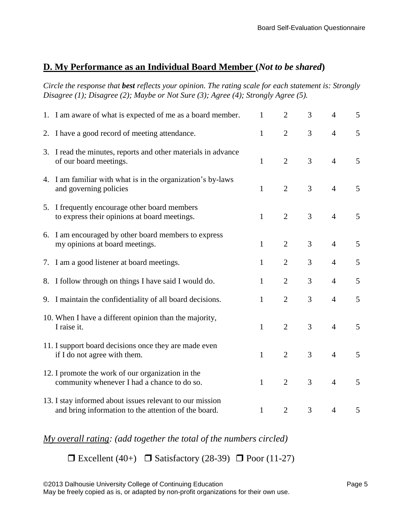#### **D. My Performance as an Individual Board Member (***Not to be shared***)**

*Circle the response that best reflects your opinion. The rating scale for each statement is: Strongly Disagree (1); Disagree (2); Maybe or Not Sure (3); Agree (4); Strongly Agree (5).*

|    | 1. I am aware of what is expected of me as a board member.                                                       | $\mathbf{1}$ | $\overline{2}$ | 3              | $\overline{4}$ | 5 |
|----|------------------------------------------------------------------------------------------------------------------|--------------|----------------|----------------|----------------|---|
|    | 2. I have a good record of meeting attendance.                                                                   | $\mathbf{1}$ | $\overline{2}$ | 3              | $\overline{4}$ | 5 |
|    | 3. I read the minutes, reports and other materials in advance<br>of our board meetings.                          | $\mathbf{1}$ | $\overline{2}$ | 3              | $\overline{4}$ | 5 |
|    | 4. I am familiar with what is in the organization's by-laws<br>and governing policies                            | $\mathbf{1}$ | $\overline{2}$ | 3              | $\overline{4}$ | 5 |
|    | 5. I frequently encourage other board members<br>to express their opinions at board meetings.                    | $\mathbf{1}$ | $\overline{2}$ | 3              | $\overline{4}$ | 5 |
| 6. | I am encouraged by other board members to express<br>my opinions at board meetings.                              | $\mathbf{1}$ | $\overline{2}$ | 3              | $\overline{4}$ | 5 |
|    | 7. I am a good listener at board meetings.                                                                       | $\mathbf{1}$ | $\overline{2}$ | 3              | $\overline{4}$ | 5 |
|    | 8. I follow through on things I have said I would do.                                                            | $\mathbf{1}$ | $\overline{2}$ | 3              | $\overline{4}$ | 5 |
|    | 9. I maintain the confidentiality of all board decisions.                                                        | $\mathbf{1}$ | $\overline{2}$ | 3              | $\overline{4}$ | 5 |
|    | 10. When I have a different opinion than the majority,<br>I raise it.                                            | $\mathbf{1}$ | $\overline{2}$ | 3              | $\overline{4}$ | 5 |
|    | 11. I support board decisions once they are made even<br>if I do not agree with them.                            | $\mathbf{1}$ | $\overline{2}$ | 3              | $\overline{4}$ | 5 |
|    | 12. I promote the work of our organization in the<br>community whenever I had a chance to do so.                 | $\mathbf{1}$ | $\overline{2}$ | $\overline{3}$ | $\overline{4}$ | 5 |
|    | 13. I stay informed about issues relevant to our mission<br>and bring information to the attention of the board. | $\mathbf{1}$ | $\overline{2}$ | 3              | $\overline{4}$ | 5 |

*My overall rating: (add together the total of the numbers circled)*

 $\Box$  Excellent (40+)  $\Box$  Satisfactory (28-39)  $\Box$  Poor (11-27)

©2013 Dalhousie University College of Continuing Education Page 5

May be freely copied as is, or adapted by non-profit organizations for their own use.